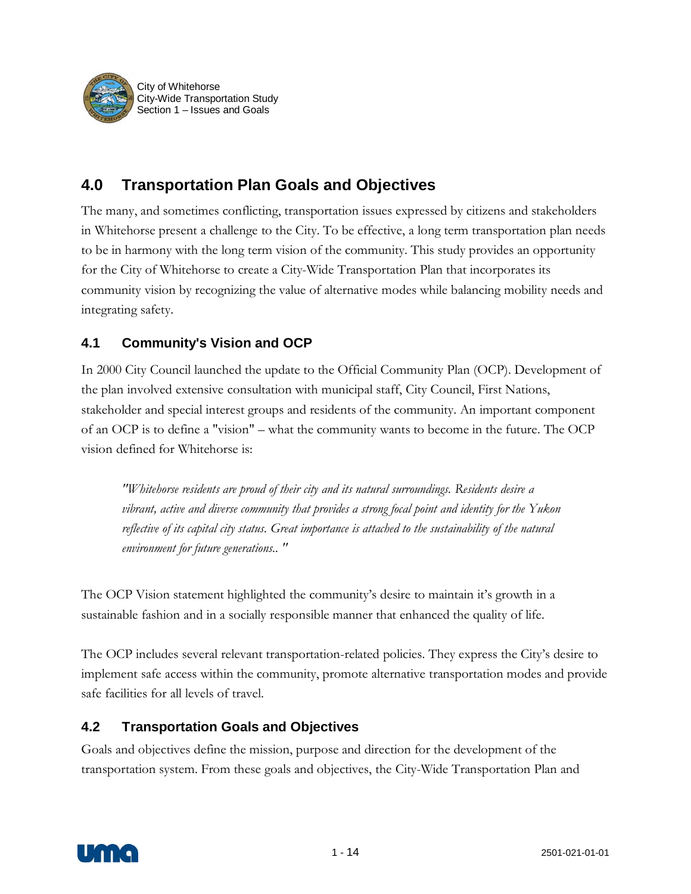

# **4.0 Transportation Plan Goals and Objectives**

The many, and sometimes conflicting, transportation issues expressed by citizens and stakeholders in Whitehorse present a challenge to the City. To be effective, a long term transportation plan needs to be in harmony with the long term vision of the community. This study provides an opportunity for the City of Whitehorse to create a City-Wide Transportation Plan that incorporates its community vision by recognizing the value of alternative modes while balancing mobility needs and integrating safety.

#### **4.1 Community's Vision and OCP**

In 2000 City Council launched the update to the Official Community Plan (OCP). Development of the plan involved extensive consultation with municipal staff, City Council, First Nations, stakeholder and special interest groups and residents of the community. An important component of an OCP is to define a "vision" – what the community wants to become in the future. The OCP vision defined for Whitehorse is:

*"Whitehorse residents are proud of their city and its natural surroundings. Residents desire a vibrant, active and diverse community that provides a strong focal point and identity for the Yukon reflective of its capital city status. Great importance is attached to the sustainability of the natural environment for future generations.. "* 

The OCP Vision statement highlighted the community's desire to maintain it's growth in a sustainable fashion and in a socially responsible manner that enhanced the quality of life.

The OCP includes several relevant transportation-related policies. They express the City's desire to implement safe access within the community, promote alternative transportation modes and provide safe facilities for all levels of travel.

#### **4.2 Transportation Goals and Objectives**

Goals and objectives define the mission, purpose and direction for the development of the transportation system. From these goals and objectives, the City-Wide Transportation Plan and

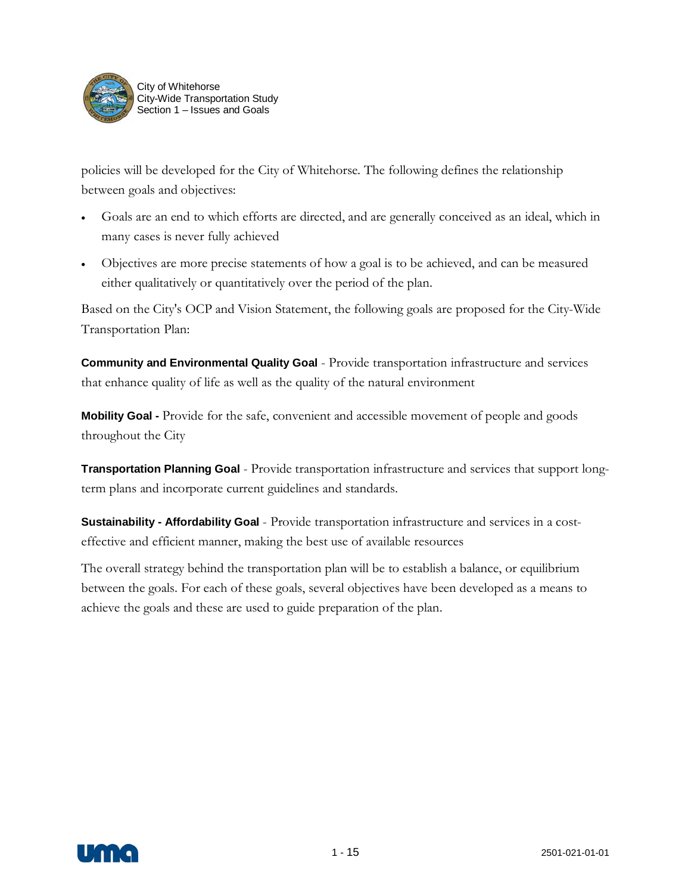

policies will be developed for the City of Whitehorse. The following defines the relationship between goals and objectives:

- Goals are an end to which efforts are directed, and are generally conceived as an ideal, which in many cases is never fully achieved
- Objectives are more precise statements of how a goal is to be achieved, and can be measured either qualitatively or quantitatively over the period of the plan.

Based on the City's OCP and Vision Statement, the following goals are proposed for the City-Wide Transportation Plan:

**Community and Environmental Quality Goal** - Provide transportation infrastructure and services that enhance quality of life as well as the quality of the natural environment

**Mobility Goal -** Provide for the safe, convenient and accessible movement of people and goods throughout the City

**Transportation Planning Goal** - Provide transportation infrastructure and services that support longterm plans and incorporate current guidelines and standards.

**Sustainability - Affordability Goal** - Provide transportation infrastructure and services in a costeffective and efficient manner, making the best use of available resources

The overall strategy behind the transportation plan will be to establish a balance, or equilibrium between the goals. For each of these goals, several objectives have been developed as a means to achieve the goals and these are used to guide preparation of the plan.

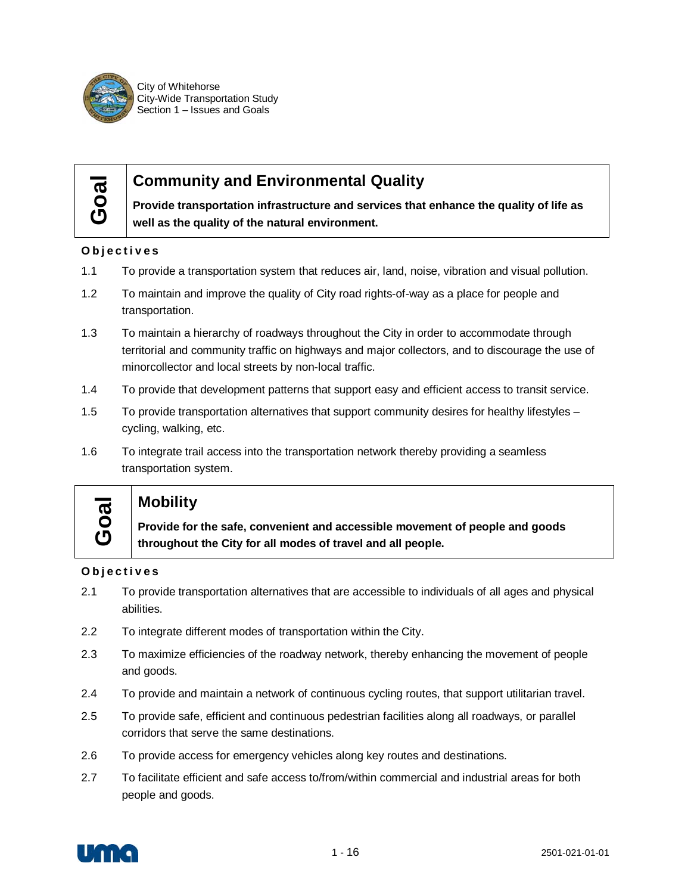

City of Whitehorse City-Wide Transportation Study Section 1 – Issues and Goals

# **Goal**

## **Community and Environmental Quality**

**Provide transportation infrastructure and services that enhance the quality of life as well as the quality of the natural environment.**

#### **Objectives**

- 1.1 To provide a transportation system that reduces air, land, noise, vibration and visual pollution.
- 1.2 To maintain and improve the quality of City road rights-of-way as a place for people and transportation.
- 1.3 To maintain a hierarchy of roadways throughout the City in order to accommodate through territorial and community traffic on highways and major collectors, and to discourage the use of minorcollector and local streets by non-local traffic.
- 1.4 To provide that development patterns that support easy and efficient access to transit service.
- 1.5 To provide transportation alternatives that support community desires for healthy lifestyles cycling, walking, etc.
- 1.6 To integrate trail access into the transportation network thereby providing a seamless transportation system.

# **Goal**

### **Mobility**

**Provide for the safe, convenient and accessible movement of people and goods throughout the City for all modes of travel and all people.**

#### **Objectives**

- 2.1 To provide transportation alternatives that are accessible to individuals of all ages and physical abilities.
- 2.2 To integrate different modes of transportation within the City.
- 2.3 To maximize efficiencies of the roadway network, thereby enhancing the movement of people and goods.
- 2.4 To provide and maintain a network of continuous cycling routes, that support utilitarian travel.
- 2.5 To provide safe, efficient and continuous pedestrian facilities along all roadways, or parallel corridors that serve the same destinations.
- 2.6 To provide access for emergency vehicles along key routes and destinations.
- 2.7 To facilitate efficient and safe access to/from/within commercial and industrial areas for both people and goods.